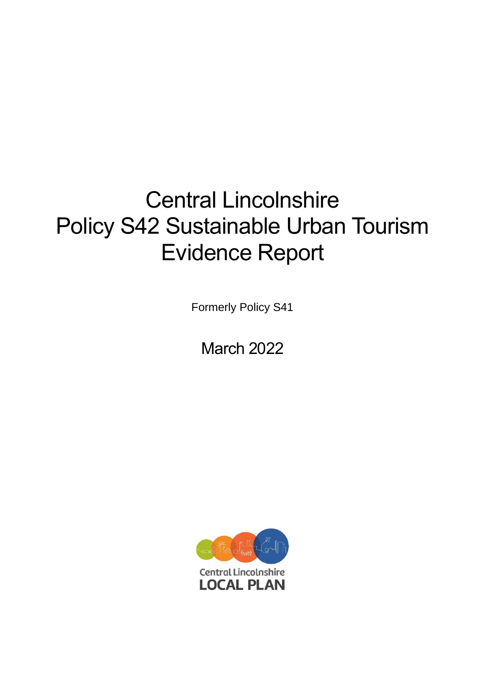# Central Lincolnshire Policy S42 Sustainable Urban Tourism Evidence Report

Formerly Policy S41

March 2022

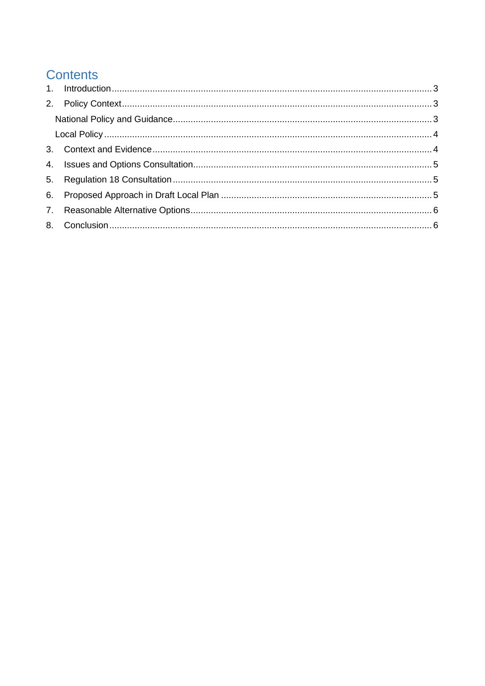# **Contents**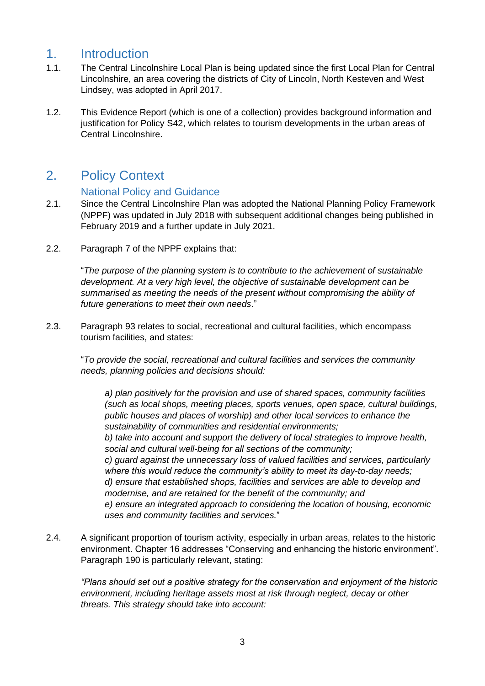## <span id="page-2-0"></span>1. Introduction

- 1.1. The Central Lincolnshire Local Plan is being updated since the first Local Plan for Central Lincolnshire, an area covering the districts of City of Lincoln, North Kesteven and West Lindsey, was adopted in April 2017.
- 1.2. This Evidence Report (which is one of a collection) provides background information and justification for Policy S42, which relates to tourism developments in the urban areas of Central Lincolnshire.

# <span id="page-2-1"></span>2. Policy Context

#### National Policy and Guidance

- <span id="page-2-2"></span>2.1. Since the Central Lincolnshire Plan was adopted the National Planning Policy Framework (NPPF) was updated in July 2018 with subsequent additional changes being published in February 2019 and a further update in July 2021.
- 2.2. Paragraph 7 of the NPPF explains that:

"*The purpose of the planning system is to contribute to the achievement of sustainable development. At a very high level, the objective of sustainable development can be summarised as meeting the needs of the present without compromising the ability of future generations to meet their own needs*."

2.3. Paragraph 93 relates to social, recreational and cultural facilities, which encompass tourism facilities, and states:

"*To provide the social, recreational and cultural facilities and services the community needs, planning policies and decisions should:*

*a) plan positively for the provision and use of shared spaces, community facilities (such as local shops, meeting places, sports venues, open space, cultural buildings, public houses and places of worship) and other local services to enhance the sustainability of communities and residential environments; b) take into account and support the delivery of local strategies to improve health, social and cultural well-being for all sections of the community; c) guard against the unnecessary loss of valued facilities and services, particularly where this would reduce the community's ability to meet its day-to-day needs; d) ensure that established shops, facilities and services are able to develop and modernise, and are retained for the benefit of the community; and*

*e) ensure an integrated approach to considering the location of housing, economic uses and community facilities and services.*"

2.4. A significant proportion of tourism activity, especially in urban areas, relates to the historic environment. Chapter 16 addresses "Conserving and enhancing the historic environment". Paragraph 190 is particularly relevant, stating:

*"Plans should set out a positive strategy for the conservation and enjoyment of the historic environment, including heritage assets most at risk through neglect, decay or other threats. This strategy should take into account:*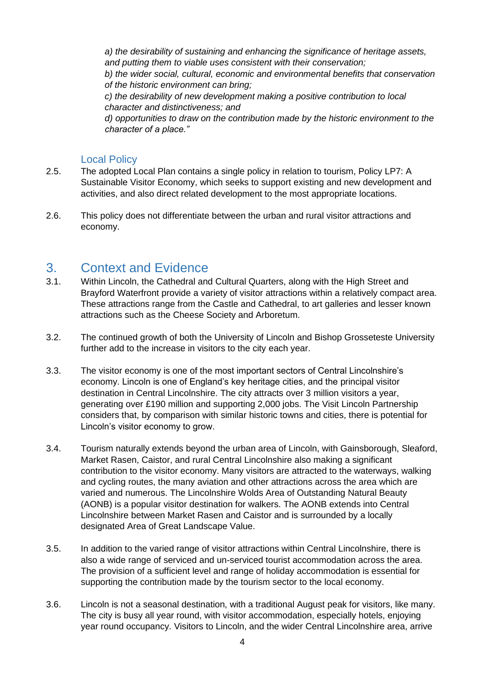*a) the desirability of sustaining and enhancing the significance of heritage assets, and putting them to viable uses consistent with their conservation; b) the wider social, cultural, economic and environmental benefits that conservation of the historic environment can bring; c) the desirability of new development making a positive contribution to local character and distinctiveness; and d) opportunities to draw on the contribution made by the historic environment to the character of a place."*

#### Local Policy

- <span id="page-3-0"></span>2.5. The adopted Local Plan contains a single policy in relation to tourism, Policy LP7: A Sustainable Visitor Economy, which seeks to support existing and new development and activities, and also direct related development to the most appropriate locations.
- 2.6. This policy does not differentiate between the urban and rural visitor attractions and economy.

#### <span id="page-3-1"></span>3. Context and Evidence

- 3.1. Within Lincoln, the Cathedral and Cultural Quarters, along with the High Street and Brayford Waterfront provide a variety of visitor attractions within a relatively compact area. These attractions range from the Castle and Cathedral, to art galleries and lesser known attractions such as the Cheese Society and Arboretum.
- 3.2. The continued growth of both the University of Lincoln and Bishop Grosseteste University further add to the increase in visitors to the city each year.
- 3.3. The visitor economy is one of the most important sectors of Central Lincolnshire's economy. Lincoln is one of England's key heritage cities, and the principal visitor destination in Central Lincolnshire. The city attracts over 3 million visitors a year, generating over £190 million and supporting 2,000 jobs. The Visit Lincoln Partnership considers that, by comparison with similar historic towns and cities, there is potential for Lincoln's visitor economy to grow.
- 3.4. Tourism naturally extends beyond the urban area of Lincoln, with Gainsborough, Sleaford, Market Rasen, Caistor, and rural Central Lincolnshire also making a significant contribution to the visitor economy. Many visitors are attracted to the waterways, walking and cycling routes, the many aviation and other attractions across the area which are varied and numerous. The Lincolnshire Wolds Area of Outstanding Natural Beauty (AONB) is a popular visitor destination for walkers. The AONB extends into Central Lincolnshire between Market Rasen and Caistor and is surrounded by a locally designated Area of Great Landscape Value.
- 3.5. In addition to the varied range of visitor attractions within Central Lincolnshire, there is also a wide range of serviced and un-serviced tourist accommodation across the area. The provision of a sufficient level and range of holiday accommodation is essential for supporting the contribution made by the tourism sector to the local economy.
- 3.6. Lincoln is not a seasonal destination, with a traditional August peak for visitors, like many. The city is busy all year round, with visitor accommodation, especially hotels, enjoying year round occupancy. Visitors to Lincoln, and the wider Central Lincolnshire area, arrive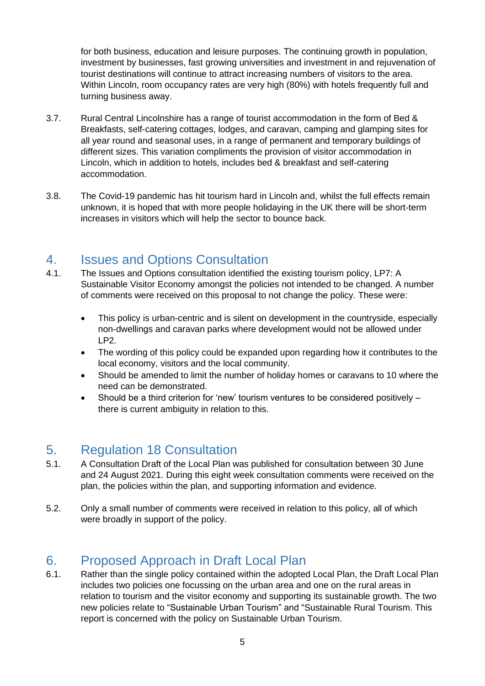for both business, education and leisure purposes. The continuing growth in population, investment by businesses, fast growing universities and investment in and rejuvenation of tourist destinations will continue to attract increasing numbers of visitors to the area. Within Lincoln, room occupancy rates are very high (80%) with hotels frequently full and turning business away.

- 3.7. Rural Central Lincolnshire has a range of tourist accommodation in the form of Bed & Breakfasts, self-catering cottages, lodges, and caravan, camping and glamping sites for all year round and seasonal uses, in a range of permanent and temporary buildings of different sizes. This variation compliments the provision of visitor accommodation in Lincoln, which in addition to hotels, includes bed & breakfast and self-catering accommodation.
- 3.8. The Covid-19 pandemic has hit tourism hard in Lincoln and, whilst the full effects remain unknown, it is hoped that with more people holidaying in the UK there will be short-term increases in visitors which will help the sector to bounce back.

#### <span id="page-4-0"></span>4. Issues and Options Consultation

- 4.1. The Issues and Options consultation identified the existing tourism policy, LP7: A Sustainable Visitor Economy amongst the policies not intended to be changed. A number of comments were received on this proposal to not change the policy. These were:
	- This policy is urban-centric and is silent on development in the countryside, especially non-dwellings and caravan parks where development would not be allowed under LP2.
	- The wording of this policy could be expanded upon regarding how it contributes to the local economy, visitors and the local community.
	- Should be amended to limit the number of holiday homes or caravans to 10 where the need can be demonstrated.
	- Should be a third criterion for 'new' tourism ventures to be considered positively there is current ambiguity in relation to this.

## <span id="page-4-1"></span>5. Regulation 18 Consultation

- 5.1. A Consultation Draft of the Local Plan was published for consultation between 30 June and 24 August 2021. During this eight week consultation comments were received on the plan, the policies within the plan, and supporting information and evidence.
- 5.2. Only a small number of comments were received in relation to this policy, all of which were broadly in support of the policy.

# <span id="page-4-2"></span>6. Proposed Approach in Draft Local Plan

6.1. Rather than the single policy contained within the adopted Local Plan, the Draft Local Plan includes two policies one focussing on the urban area and one on the rural areas in relation to tourism and the visitor economy and supporting its sustainable growth. The two new policies relate to "Sustainable Urban Tourism" and "Sustainable Rural Tourism. This report is concerned with the policy on Sustainable Urban Tourism.